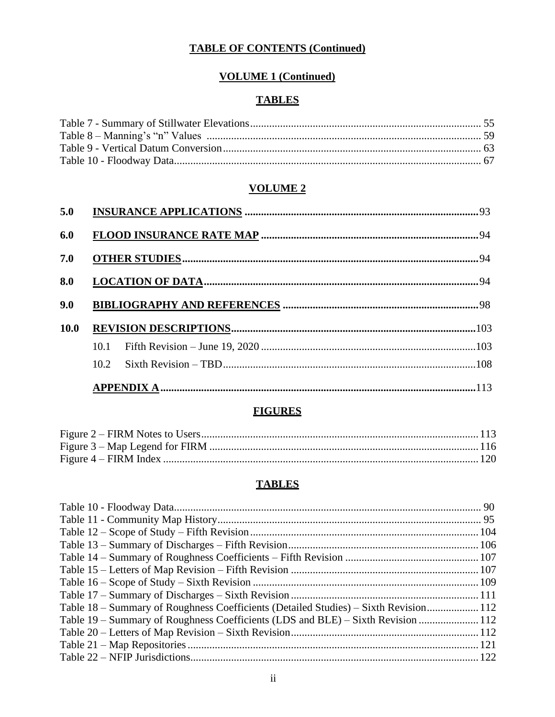# **VOLUME 1 (Continued)**

## **TABLES**

### **VOLUME 2**

| 5.0         |  |
|-------------|--|
| 6.0         |  |
| 7.0         |  |
| 8.0         |  |
| 9.0         |  |
| <b>10.0</b> |  |
|             |  |
|             |  |
|             |  |

## **FIGURES**

## **TABLES**

| Table 18 – Summary of Roughness Coefficients (Detailed Studies) – Sixth Revision 112 |  |
|--------------------------------------------------------------------------------------|--|
| Table 19 – Summary of Roughness Coefficients (LDS and BLE) – Sixth Revision  112     |  |
|                                                                                      |  |
|                                                                                      |  |
|                                                                                      |  |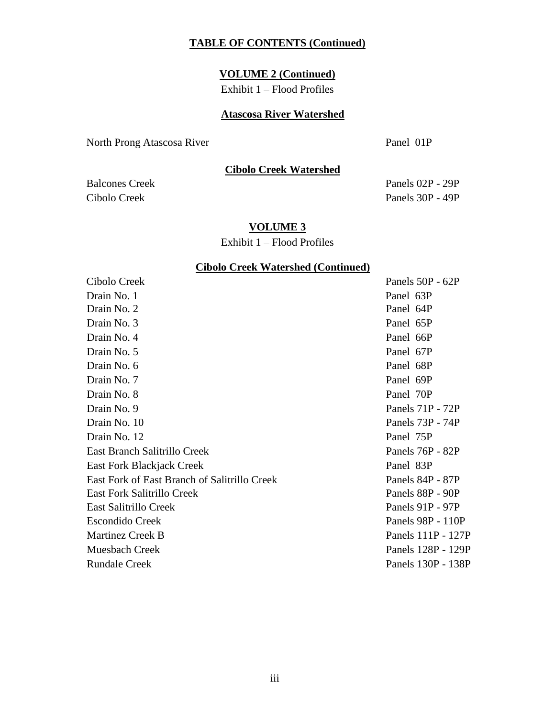#### **VOLUME 2 (Continued)**

Exhibit 1 – Flood Profiles

### **Atascosa River Watershed**

North Prong Atascosa River Panel 01P

**Cibolo Creek Watershed**

## Balcones Creek Panels 02P - 29P Cibolo Creek Panels 30P - 49P

#### **VOLUME 3**

Exhibit 1 – Flood Profiles

#### **Cibolo Creek Watershed (Continued)**

Cibolo Creek Panels 50P - 62P Drain No. 1 **Panel 63P** Drain No. 2 **Panel 64P** Drain No. 3 Panel 65P Drain No. 4 **Panel 66P** Drain No. 5 Panel 67P Drain No. 6 Panel 68P Drain No. 7 Panel 69P Drain No. 8 **Panel 70P** Drain No. 9 Panels 71P - 72P Drain No. 10 Panels 73P - 74P Drain No. 12 Panel 75P East Branch Salitrillo Creek Panels 76P - 82P East Fork Blackjack Creek **Panel 83P** East Fork of East Branch of Salitrillo Creek Panels 84P - 87P East Fork Salitrillo Creek **Panels 88P** - 90P East Salitrillo Creek Panels 91P - 97P Escondido Creek Panels 98P - 110P Martinez Creek B Panels 111P - 127P Muesbach Creek Panels 128P - 129P Rundale Creek Panels 130P - 138P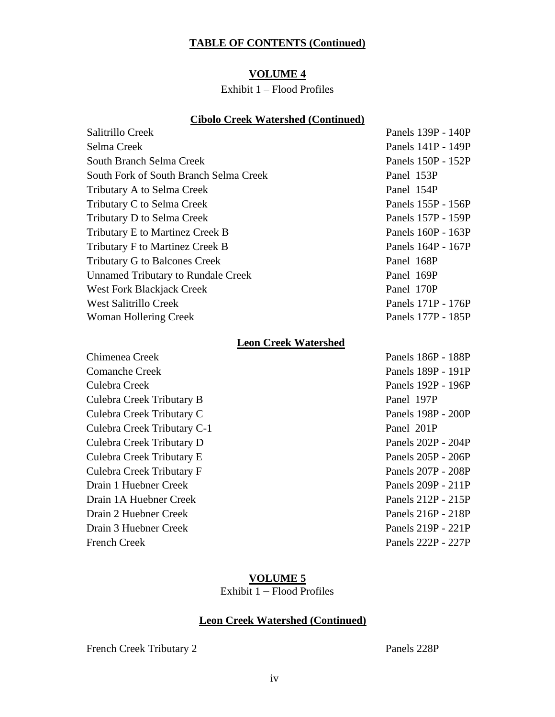## **VOLUME 4**

## Exhibit 1 – Flood Profiles

### **Cibolo Creek Watershed (Continued)**

| Salitrillo Creek                          | Panels 139P - 140P |
|-------------------------------------------|--------------------|
| Selma Creek                               | Panels 141P - 149P |
| South Branch Selma Creek                  | Panels 150P - 152P |
| South Fork of South Branch Selma Creek    | Panel 153P         |
| Tributary A to Selma Creek                | Panel 154P         |
| Tributary C to Selma Creek                | Panels 155P - 156P |
| Tributary D to Selma Creek                | Panels 157P - 159P |
| Tributary E to Martinez Creek B           | Panels 160P - 163P |
| Tributary F to Martinez Creek B           | Panels 164P - 167P |
| <b>Tributary G to Balcones Creek</b>      | Panel 168P         |
| <b>Unnamed Tributary to Rundale Creek</b> | Panel 169P         |
| <b>West Fork Blackjack Creek</b>          | Panel 170P         |
| <b>West Salitrillo Creek</b>              | Panels 171P - 176P |
| <b>Woman Hollering Creek</b>              | Panels 177P - 185P |
| <b>Leon Creek Watershed</b>               |                    |
| Chimenea Creek                            | Panels 186P - 188P |
| <b>Comanche Creek</b>                     | Panels 189P - 191P |
| Culebra Creek                             | Panels 192P - 196P |
| Culebra Creek Tributary B                 | Panel 197P         |
| Culebra Creek Tributary C                 | Panels 198P - 200P |
| Culebra Creek Tributary C-1               | Panel 201P         |
| Culebra Creek Tributary D                 | Panels 202P - 204P |
| Culebra Creek Tributary E                 | Panels 205P - 206P |
| Culebra Creek Tributary F                 | Panels 207P - 208P |
| Drain 1 Huebner Creek                     | Panels 209P - 211P |
| Drain 1A Huebner Creek                    | Panels 212P - 215P |
| Drain 2 Huebner Creek                     | Panels 216P - 218P |
| Drain 3 Huebner Creek                     | Panels 219P - 221P |
| <b>French Creek</b>                       | Panels 222P - 227P |

### **VOLUME 5**

Exhibit  $1 -$  Flood Profiles

## **Leon Creek Watershed (Continued)**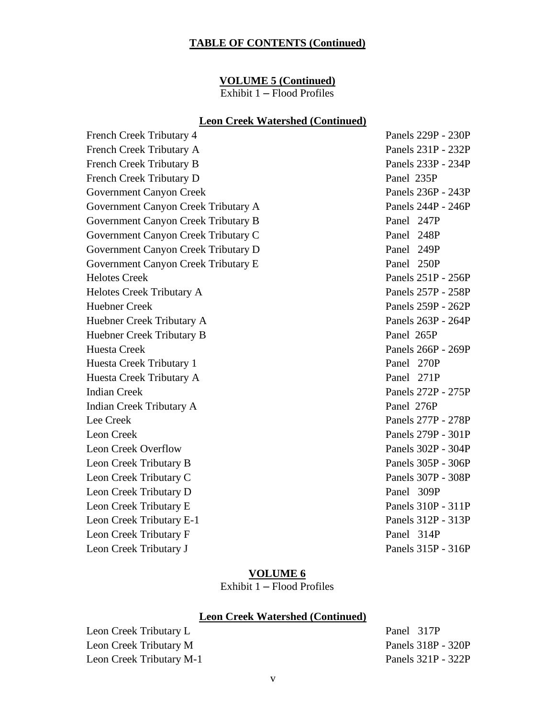#### **VOLUME 5 (Continued)**

Exhibit 1 – Flood Profiles

#### **Leon Creek Watershed (Continued)**

French Creek Tributary 4 Panels 229P - 230P French Creek Tributary A Panels 231P - 232P French Creek Tributary B Panels 233P - 234P French Creek Tributary D Panel 235P Government Canyon Creek Panels 236P - 243P Government Canyon Creek Tributary A Panels 244P - 246P Government Canyon Creek Tributary B Panel 247P Government Canyon Creek Tributary C Panel 248P Government Canyon Creek Tributary D Panel 249P Government Canyon Creek Tributary E Panel 250P Helotes Creek Panels 251P - 256P Helotes Creek Tributary A Panels 257P - 258P Huebner Creek Panels 259P - 262P Huebner Creek Tributary A Panels 263P - 264P Huebner Creek Tributary B Panel 265P Huesta Creek **Panels 266P** - 269P Huesta Creek Tributary 1 Panel 270P Huesta Creek Tributary A Panel 271P Indian Creek Panels 272P - 275P Indian Creek Tributary A Panel 276P Lee Creek Panels 277P - 278P Leon Creek Panels 279P - 301P Leon Creek Overflow Panels 302P - 304P Leon Creek Tributary B Panels 305P - 306P Leon Creek Tributary C Panels 307P - 308P Leon Creek Tributary D Panel 309P Leon Creek Tributary E Panels 310P - 311P Leon Creek Tributary E-1 Panels 312P - 313P Leon Creek Tributary F Panel 314P Leon Creek Tributary J Panels 315P - 316P

#### **VOLUME 6**

Exhibit 1 – Flood Profiles

#### **Leon Creek Watershed (Continued)**

Leon Creek Tributary L<br>
Panel 317P Leon Creek Tributary M Panels 318P - 320P Leon Creek Tributary M-1 Panels 321P - 322P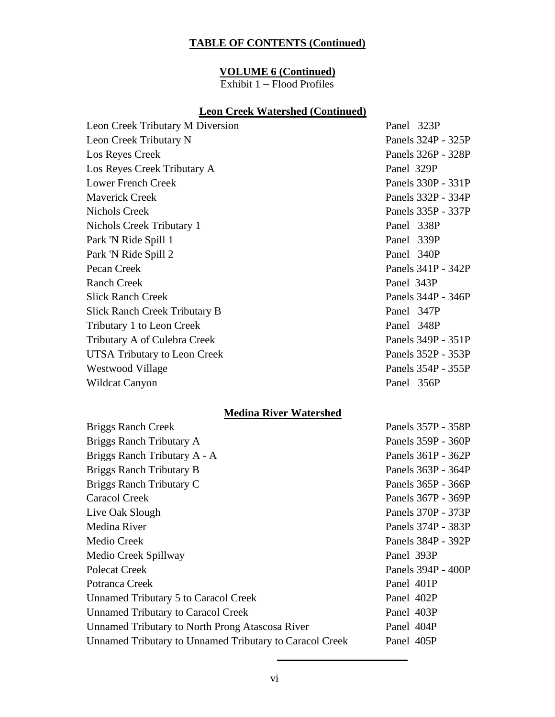#### **VOLUME 6 (Continued)**

Exhibit 1 – Flood Profiles

### **Leon Creek Watershed (Continued)**

Panel 323P

Panels 324P - 325P Panels 326P - 328P

Panels 330P - 331P Panels 332P - 334P Panels 335P - 337P

Panels 341P - 342P

Panels 344P - 346P

Panels 349P - 351P Panels 352P - 353P Panels 354P - 355P

| Leon Creek Tributary M Diversion     | Panel 323P  |
|--------------------------------------|-------------|
| Leon Creek Tributary N               | Panels 324P |
| Los Reyes Creek                      | Panels 326P |
| Los Reyes Creek Tributary A          | Panel 329P  |
| <b>Lower French Creek</b>            | Panels 330P |
| <b>Maverick Creek</b>                | Panels 332P |
| <b>Nichols Creek</b>                 | Panels 335P |
| Nichols Creek Tributary 1            | Panel 338P  |
| Park 'N Ride Spill 1                 | Panel 339P  |
| Park 'N Ride Spill 2                 | Panel 340P  |
| Pecan Creek                          | Panels 341P |
| <b>Ranch Creek</b>                   | Panel 343P  |
| <b>Slick Ranch Creek</b>             | Panels 344P |
| <b>Slick Ranch Creek Tributary B</b> | Panel 347P  |
| Tributary 1 to Leon Creek            | Panel 348P  |
| Tributary A of Culebra Creek         | Panels 349P |
| UTSA Tributary to Leon Creek         | Panels 352P |
| Westwood Village                     | Panels 354P |
| Wildcat Canyon                       | Panel 356P  |

### **Medina River Watershed**

| <b>Briggs Ranch Creek</b>                               | Panels 357P - 358P |
|---------------------------------------------------------|--------------------|
| Briggs Ranch Tributary A                                | Panels 359P - 360P |
| Briggs Ranch Tributary A - A                            | Panels 361P - 362P |
| Briggs Ranch Tributary B                                | Panels 363P - 364P |
| Briggs Ranch Tributary C                                | Panels 365P - 366P |
| Caracol Creek                                           | Panels 367P - 369P |
| Live Oak Slough                                         | Panels 370P - 373P |
| Medina River                                            | Panels 374P - 383P |
| <b>Medio Creek</b>                                      | Panels 384P - 392P |
| Medio Creek Spillway                                    | Panel 393P         |
| <b>Polecat Creek</b>                                    | Panels 394P - 400P |
| Potranca Creek                                          | Panel 401P         |
| Unnamed Tributary 5 to Caracol Creek                    | Panel 402P         |
| <b>Unnamed Tributary to Caracol Creek</b>               | Panel 403P         |
| Unnamed Tributary to North Prong Atascosa River         | Panel 404P         |
| Unnamed Tributary to Unnamed Tributary to Caracol Creek | Panel 405P         |
|                                                         |                    |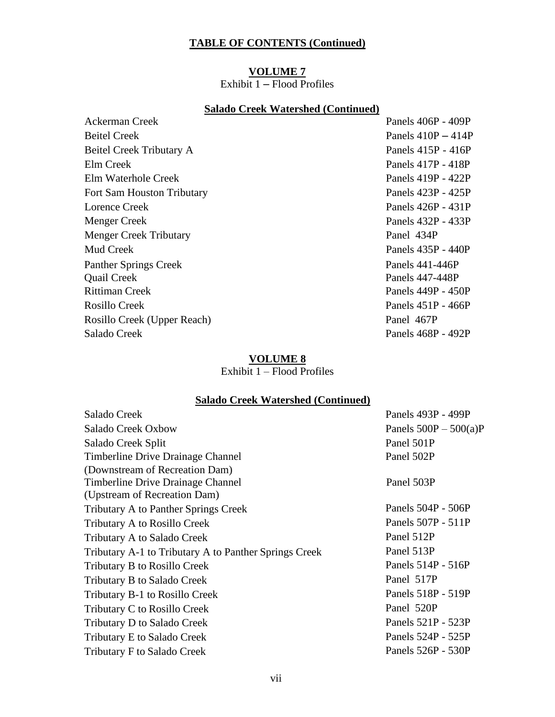## **VOLUME 7**

Exhibit  $1 -$  Flood Profiles

### **Salado Creek Watershed (Continued)**

| Panels 406P - 409P   |
|----------------------|
| Panels $410P - 414P$ |
| Panels 415P - 416P   |
| Panels 417P - 418P   |
| Panels 419P - 422P   |
| Panels 423P - 425P   |
| Panels 426P - 431P   |
| Panels 432P - 433P   |
| Panel 434P           |
| Panels 435P - 440P   |
| Panels 441-446P      |
| Panels 447-448P      |
| Panels 449P - 450P   |
| Panels 451P - 466P   |
| Panel 467P           |
| Panels 468P - 492P   |
|                      |

## **VOLUME 8**

Exhibit  $1 -$  Flood Profiles

## **Salado Creek Watershed (Continued)**

| Salado Creek                                          | Panels 493P - 499P      |
|-------------------------------------------------------|-------------------------|
| Salado Creek Oxbow                                    | Panels $500P - 500(a)P$ |
| Salado Creek Split                                    | Panel 501P              |
| Timberline Drive Drainage Channel                     | Panel 502P              |
| (Downstream of Recreation Dam)                        |                         |
| Timberline Drive Drainage Channel                     | Panel 503P              |
| (Upstream of Recreation Dam)                          |                         |
| <b>Tributary A to Panther Springs Creek</b>           | Panels 504P - 506P      |
| Tributary A to Rosillo Creek                          | Panels 507P - 511P      |
| Tributary A to Salado Creek                           | Panel 512P              |
| Tributary A-1 to Tributary A to Panther Springs Creek | Panel 513P              |
| Tributary B to Rosillo Creek                          | Panels 514P - 516P      |
| Tributary B to Salado Creek                           | Panel 517P              |
| Tributary B-1 to Rosillo Creek                        | Panels 518P - 519P      |
| Tributary C to Rosillo Creek                          | Panel 520P              |
| Tributary D to Salado Creek                           | Panels 521P - 523P      |
| Tributary E to Salado Creek                           | Panels 524P - 525P      |
| <b>Tributary F to Salado Creek</b>                    | Panels 526P - 530P      |
|                                                       |                         |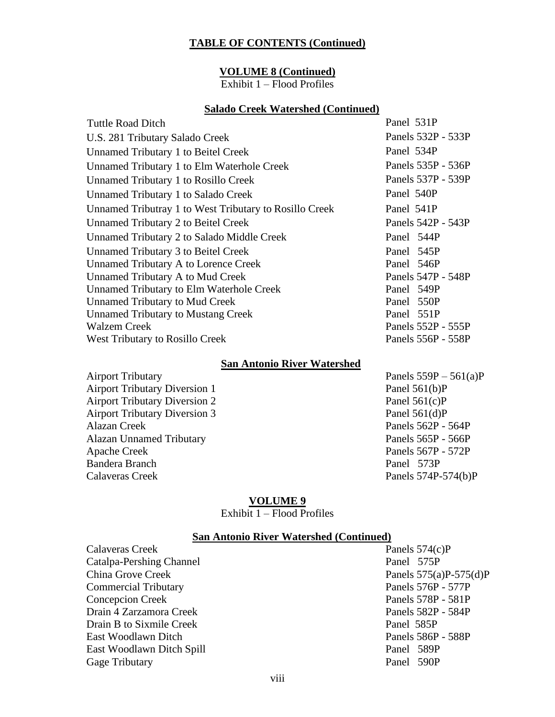#### **VOLUME 8 (Continued)**

Exhibit 1 – Flood Profiles

#### **Salado Creek Watershed (Continued)**

| <b>Tuttle Road Ditch</b>                               | Panel 531P         |
|--------------------------------------------------------|--------------------|
| U.S. 281 Tributary Salado Creek                        | Panels 532P - 533P |
| Unnamed Tributary 1 to Beitel Creek                    | Panel 534P         |
| Unnamed Tributary 1 to Elm Waterhole Creek             | Panels 535P - 536P |
| Unnamed Tributary 1 to Rosillo Creek                   | Panels 537P - 539P |
| Unnamed Tributary 1 to Salado Creek                    | Panel 540P         |
| Unnamed Tributray 1 to West Tributary to Rosillo Creek | Panel 541P         |
| <b>Unnamed Tributary 2 to Beitel Creek</b>             | Panels 542P - 543P |
| Unnamed Tributary 2 to Salado Middle Creek             | Panel 544P         |
| Unnamed Tributary 3 to Beitel Creek                    | Panel 545P         |
| Unnamed Tributary A to Lorence Creek                   | Panel 546P         |
| Unnamed Tributary A to Mud Creek                       | Panels 547P - 548P |
| <b>Unnamed Tributary to Elm Waterhole Creek</b>        | Panel 549P         |
| <b>Unnamed Tributary to Mud Creek</b>                  | Panel 550P         |
| <b>Unnamed Tributary to Mustang Creek</b>              | Panel 551P         |
| <b>Walzem Creek</b>                                    | Panels 552P - 555P |
| <b>West Tributary to Rosillo Creek</b>                 | Panels 556P - 558P |
|                                                        |                    |

#### **San Antonio River Watershed**

Airport Tributary Diversion 1 Panel 561(b)P Airport Tributary Diversion 2 Panel 561(c)P Airport Tributary Diversion 3 Panel 561(d)P Alazan Creek Panels 562P - 564P Alazan Unnamed Tributary Panels 565P - 566P Apache Creek Panels 567P - 572P Bandera Branch Panel 573P Calaveras Creek Panels 574P-574(b)P

Airport Tributary Panels 559P – 561(a)P

#### **VOLUME 9**

Exhibit 1 – Flood Profiles

### **San Antonio River Watershed (Continued)**

| Calaveras Creek             | Panels $574(c)P$         |
|-----------------------------|--------------------------|
| Catalpa-Pershing Channel    | Panel 575P               |
| China Grove Creek           | Panels $575(a)P-575(d)P$ |
| <b>Commercial Tributary</b> | Panels 576P - 577P       |
| <b>Concepcion Creek</b>     | Panels 578P - 581P       |
| Drain 4 Zarzamora Creek     | Panels 582P - 584P       |
| Drain B to Sixmile Creek    | Panel 585P               |
| East Woodlawn Ditch         | Panels 586P - 588P       |
| East Woodlawn Ditch Spill   | Panel 589P               |
| Gage Tributary              | Panel 590P               |